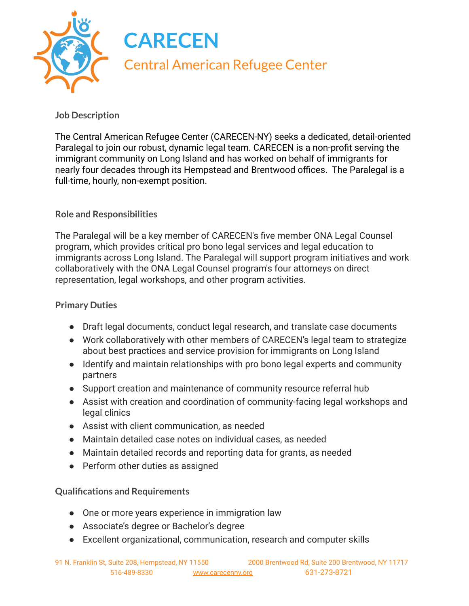

## **Job Description**

The Central American Refugee Center (CARECEN-NY) seeks a dedicated, detail-oriented Paralegal to join our robust, dynamic legal team. CARECEN is a non-profit serving the immigrant community on Long Island and has worked on behalf of immigrants for nearly four decades through its Hempstead and Brentwood offices. The Paralegal is a full-time, hourly, non-exempt position.

## **Role and Responsibilities**

The Paralegal will be a key member of CARECEN's five member ONA Legal Counsel program, which provides critical pro bono legal services and legal education to immigrants across Long Island. The Paralegal will support program initiatives and work collaboratively with the ONA Legal Counsel program's four attorneys on direct representation, legal workshops, and other program activities.

## **Primary Duties**

- Draft legal documents, conduct legal research, and translate case documents
- Work collaboratively with other members of CARECEN's legal team to strategize about best practices and service provision for immigrants on Long Island
- Identify and maintain relationships with pro bono legal experts and community partners
- Support creation and maintenance of community resource referral hub
- Assist with creation and coordination of community-facing legal workshops and legal clinics
- Assist with client communication, as needed
- Maintain detailed case notes on individual cases, as needed
- Maintain detailed records and reporting data for grants, as needed
- Perform other duties as assigned

## **Qualifications and Requirements**

- One or more years experience in immigration law
- Associate's degree or Bachelor's degree
- Excellent organizational, communication, research and computer skills